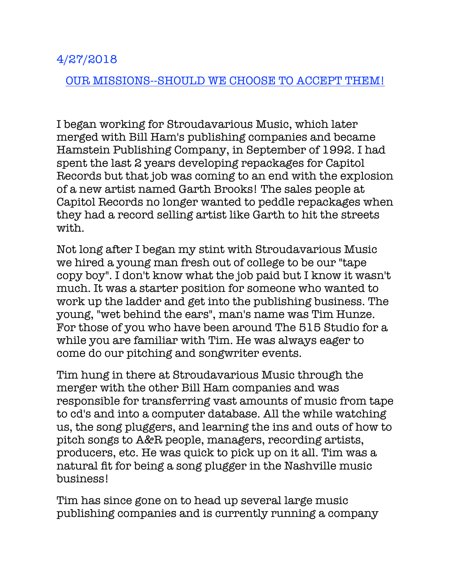## 4/27/2018

## OUR MISSIONS--SHOULD WE CHOOSE TO ACCEPT THEM!

I began working for Stroudavarious Music, which later merged with Bill Ham's publishing companies and became Hamstein Publishing Company, in September of 1992. I had spent the last 2 years developing repackages for Capitol Records but that job was coming to an end with the explosion of a new artist named Garth Brooks! The sales people at Capitol Records no longer wanted to peddle repackages when they had a record selling artist like Garth to hit the streets with.

Not long after I began my stint with Stroudavarious Music we hired a young man fresh out of college to be our "tape copy boy". I don't know what the job paid but I know it wasn't much. It was a starter position for someone who wanted to work up the ladder and get into the publishing business. The young, "wet behind the ears", man's name was Tim Hunze. For those of you who have been around The 515 Studio for a while you are familiar with Tim. He was always eager to come do our pitching and songwriter events.

Tim hung in there at Stroudavarious Music through the merger with the other Bill Ham companies and was responsible for transferring vast amounts of music from tape to cd's and into a computer database. All the while watching us, the song pluggers, and learning the ins and outs of how to pitch songs to A&R people, managers, recording artists, producers, etc. He was quick to pick up on it all. Tim was a natural fit for being a song plugger in the Nashville music business!

Tim has since gone on to head up several large music publishing companies and is currently running a company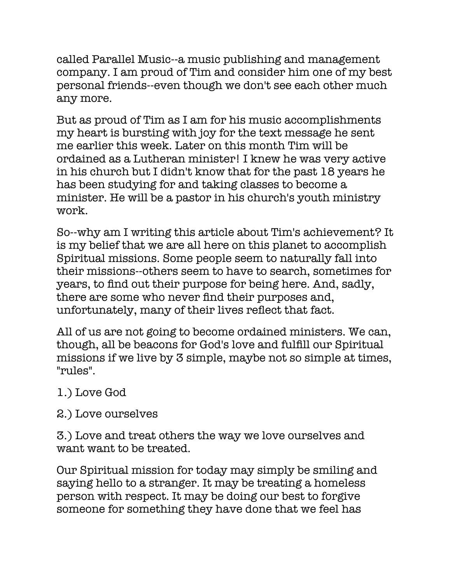called Parallel Music--a music publishing and management company. I am proud of Tim and consider him one of my best personal friends--even though we don't see each other much any more.

But as proud of Tim as I am for his music accomplishments my heart is bursting with joy for the text message he sent me earlier this week. Later on this month Tim will be ordained as a Lutheran minister! I knew he was very active in his church but I didn't know that for the past 18 years he has been studying for and taking classes to become a minister. He will be a pastor in his church's youth ministry work.

So--why am I writing this article about Tim's achievement? It is my belief that we are all here on this planet to accomplish Spiritual missions. Some people seem to naturally fall into their missions--others seem to have to search, sometimes for years, to find out their purpose for being here. And, sadly, there are some who never find their purposes and, unfortunately, many of their lives reflect that fact.

All of us are not going to become ordained ministers. We can, though, all be beacons for God's love and fulfill our Spiritual missions if we live by 3 simple, maybe not so simple at times, "rules".

## 1.) Love God

## 2.) Love ourselves

3.) Love and treat others the way we love ourselves and want want to be treated.

Our Spiritual mission for today may simply be smiling and saying hello to a stranger. It may be treating a homeless person with respect. It may be doing our best to forgive someone for something they have done that we feel has